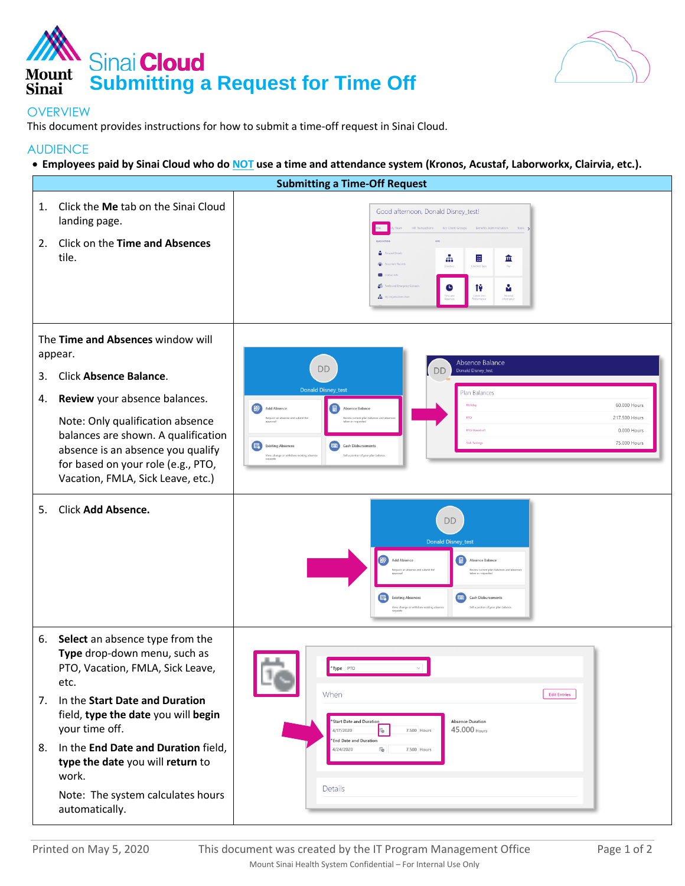



## **OVERVIEW**

This document provides instructions for how to submit a time-off request in Sinai Cloud.

## **AUDIENCE**

**Employees paid by Sinai Cloud who do NOT use a time and attendance system (Kronos, Acustaf, Laborworkx, Clairvia, etc.).**